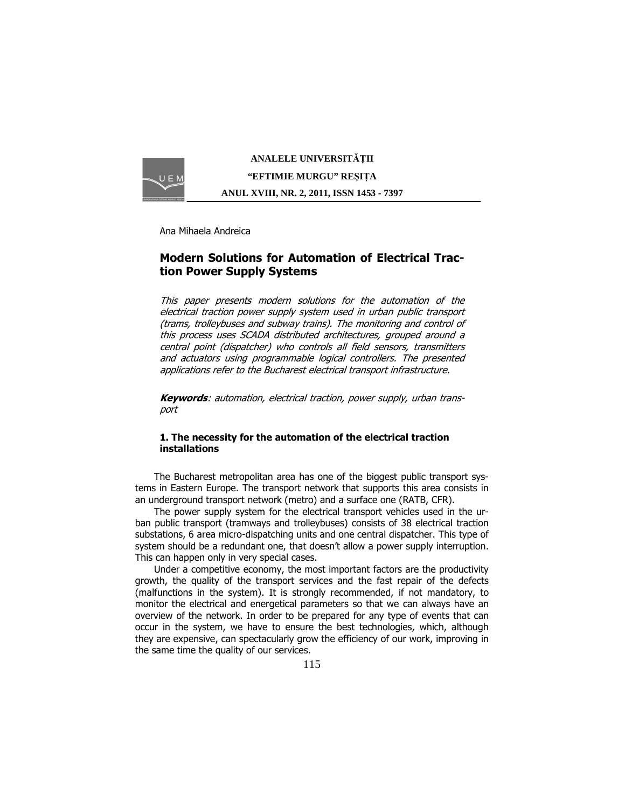

**ANALELE UNIVERSIT**Ăł**II "EFTIMIE MURGU" RE**Ş**I**ł**A ANUL XVIII, NR. 2, 2011, ISSN 1453 - 7397** 

Ana Mihaela Andreica

# Modern Solutions for Automation of Electrical Traction Power Supply Systems

This paper presents modern solutions for the automation of the electrical traction power supply system used in urban public transport (trams, trolleybuses and subway trains). The monitoring and control of this process uses SCADA distributed architectures, grouped around a central point (dispatcher) who controls all field sensors, transmitters and actuators using programmable logical controllers. The presented applications refer to the Bucharest electrical transport infrastructure.

Keywords: automation, electrical traction, power supply, urban transport

# 1. The necessity for the automation of the electrical traction installations

The Bucharest metropolitan area has one of the biggest public transport systems in Eastern Europe. The transport network that supports this area consists in an underground transport network (metro) and a surface one (RATB, CFR).

The power supply system for the electrical transport vehicles used in the urban public transport (tramways and trolleybuses) consists of 38 electrical traction substations, 6 area micro-dispatching units and one central dispatcher. This type of system should be a redundant one, that doesn't allow a power supply interruption. This can happen only in very special cases.

Under a competitive economy, the most important factors are the productivity growth, the quality of the transport services and the fast repair of the defects (malfunctions in the system). It is strongly recommended, if not mandatory, to monitor the electrical and energetical parameters so that we can always have an overview of the network. In order to be prepared for any type of events that can occur in the system, we have to ensure the best technologies, which, although they are expensive, can spectacularly grow the efficiency of our work, improving in the same time the quality of our services.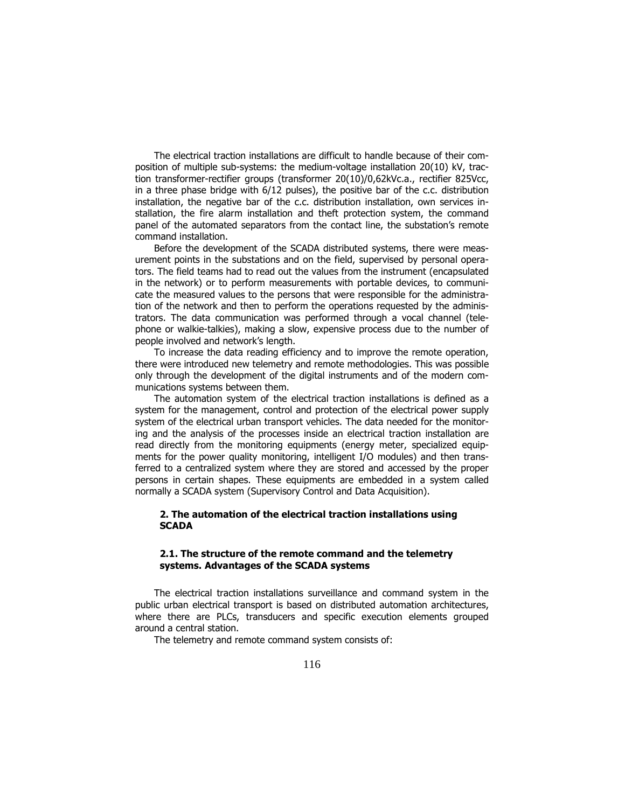The electrical traction installations are difficult to handle because of their composition of multiple sub-systems: the medium-voltage installation 20(10) kV, traction transformer-rectifier groups (transformer 20(10)/0,62kVc.a., rectifier 825Vcc, in a three phase bridge with 6/12 pulses), the positive bar of the c.c. distribution installation, the negative bar of the c.c. distribution installation, own services installation, the fire alarm installation and theft protection system, the command panel of the automated separators from the contact line, the substation's remote command installation.

Before the development of the SCADA distributed systems, there were measurement points in the substations and on the field, supervised by personal operators. The field teams had to read out the values from the instrument (encapsulated in the network) or to perform measurements with portable devices, to communicate the measured values to the persons that were responsible for the administration of the network and then to perform the operations requested by the administrators. The data communication was performed through a vocal channel (telephone or walkie-talkies), making a slow, expensive process due to the number of people involved and network's length.

To increase the data reading efficiency and to improve the remote operation, there were introduced new telemetry and remote methodologies. This was possible only through the development of the digital instruments and of the modern communications systems between them.

The automation system of the electrical traction installations is defined as a system for the management, control and protection of the electrical power supply system of the electrical urban transport vehicles. The data needed for the monitoring and the analysis of the processes inside an electrical traction installation are read directly from the monitoring equipments (energy meter, specialized equipments for the power quality monitoring, intelligent I/O modules) and then transferred to a centralized system where they are stored and accessed by the proper persons in certain shapes. These equipments are embedded in a system called normally a SCADA system (Supervisory Control and Data Acquisition).

## 2. The automation of the electrical traction installations using **SCADA**

## 2.1. The structure of the remote command and the telemetry systems. Advantages of the SCADA systems

The electrical traction installations surveillance and command system in the public urban electrical transport is based on distributed automation architectures, where there are PLCs, transducers and specific execution elements grouped around a central station.

The telemetry and remote command system consists of: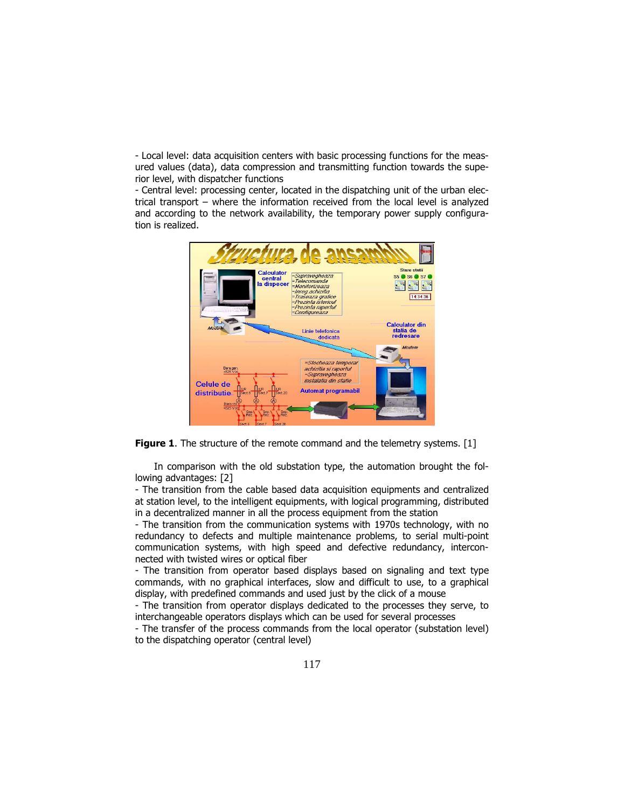- Local level: data acquisition centers with basic processing functions for the measured values (data), data compression and transmitting function towards the superior level, with dispatcher functions

- Central level: processing center, located in the dispatching unit of the urban electrical transport – where the information received from the local level is analyzed and according to the network availability, the temporary power supply configuration is realized.



Figure 1. The structure of the remote command and the telemetry systems. [1]

In comparison with the old substation type, the automation brought the following advantages: [2]

- The transition from the cable based data acquisition equipments and centralized at station level, to the intelligent equipments, with logical programming, distributed in a decentralized manner in all the process equipment from the station

- The transition from the communication systems with 1970s technology, with no redundancy to defects and multiple maintenance problems, to serial multi-point communication systems, with high speed and defective redundancy, interconnected with twisted wires or optical fiber

- The transition from operator based displays based on signaling and text type commands, with no graphical interfaces, slow and difficult to use, to a graphical display, with predefined commands and used just by the click of a mouse

- The transition from operator displays dedicated to the processes they serve, to interchangeable operators displays which can be used for several processes

- The transfer of the process commands from the local operator (substation level) to the dispatching operator (central level)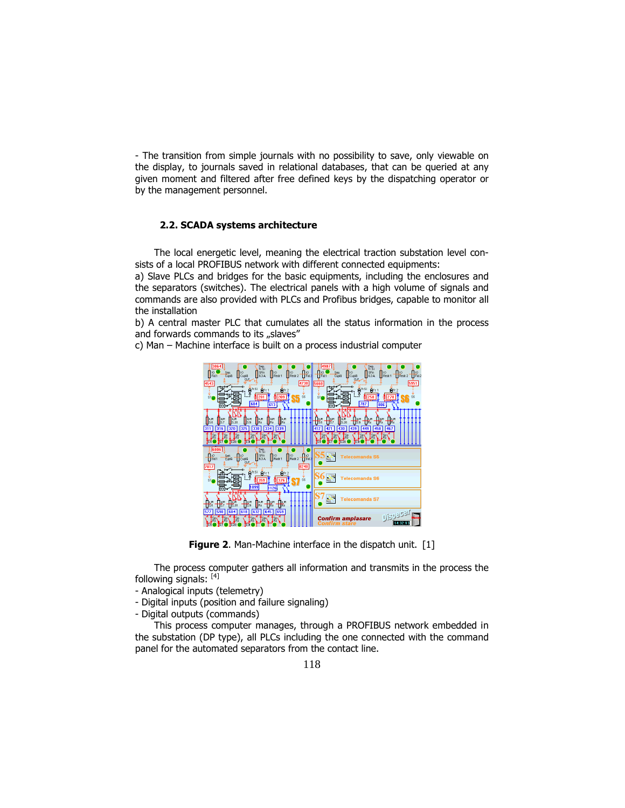- The transition from simple journals with no possibility to save, only viewable on the display, to journals saved in relational databases, that can be queried at any given moment and filtered after free defined keys by the dispatching operator or by the management personnel.

#### 2.2. SCADA systems architecture

The local energetic level, meaning the electrical traction substation level consists of a local PROFIBUS network with different connected equipments:

a) Slave PLCs and bridges for the basic equipments, including the enclosures and the separators (switches). The electrical panels with a high volume of signals and commands are also provided with PLCs and Profibus bridges, capable to monitor all the installation

b) A central master PLC that cumulates all the status information in the process and forwards commands to its "slaves"

c) Man – Machine interface is built on a process industrial computer



Figure 2. Man-Machine interface in the dispatch unit. [1]

The process computer gathers all information and transmits in the process the following signals: [4]

- Analogical inputs (telemetry)
- Digital inputs (position and failure signaling)
- Digital outputs (commands)

This process computer manages, through a PROFIBUS network embedded in the substation (DP type), all PLCs including the one connected with the command panel for the automated separators from the contact line.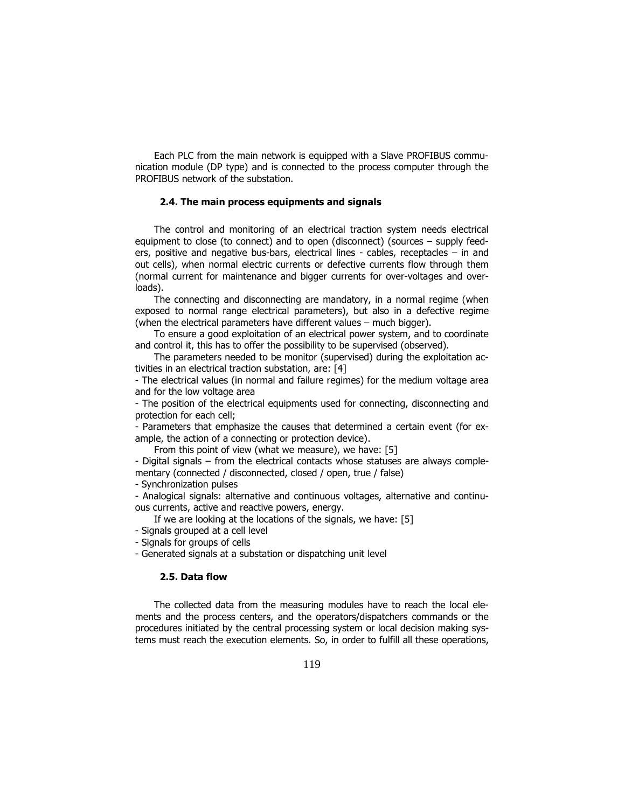Each PLC from the main network is equipped with a Slave PROFIBUS communication module (DP type) and is connected to the process computer through the PROFIBUS network of the substation.

## 2.4. The main process equipments and signals

The control and monitoring of an electrical traction system needs electrical equipment to close (to connect) and to open (disconnect) (sources – supply feeders, positive and negative bus-bars, electrical lines - cables, receptacles – in and out cells), when normal electric currents or defective currents flow through them (normal current for maintenance and bigger currents for over-voltages and overloads).

The connecting and disconnecting are mandatory, in a normal regime (when exposed to normal range electrical parameters), but also in a defective regime (when the electrical parameters have different values – much bigger).

To ensure a good exploitation of an electrical power system, and to coordinate and control it, this has to offer the possibility to be supervised (observed).

The parameters needed to be monitor (supervised) during the exploitation activities in an electrical traction substation, are: [4]

- The electrical values (in normal and failure regimes) for the medium voltage area and for the low voltage area

- The position of the electrical equipments used for connecting, disconnecting and protection for each cell;

- Parameters that emphasize the causes that determined a certain event (for example, the action of a connecting or protection device).

From this point of view (what we measure), we have: [5]

- Digital signals – from the electrical contacts whose statuses are always complementary (connected / disconnected, closed / open, true / false)

- Synchronization pulses

- Analogical signals: alternative and continuous voltages, alternative and continuous currents, active and reactive powers, energy.

If we are looking at the locations of the signals, we have: [5]

- Signals grouped at a cell level

- Signals for groups of cells

- Generated signals at a substation or dispatching unit level

# 2.5. Data flow

The collected data from the measuring modules have to reach the local elements and the process centers, and the operators/dispatchers commands or the procedures initiated by the central processing system or local decision making systems must reach the execution elements. So, in order to fulfill all these operations,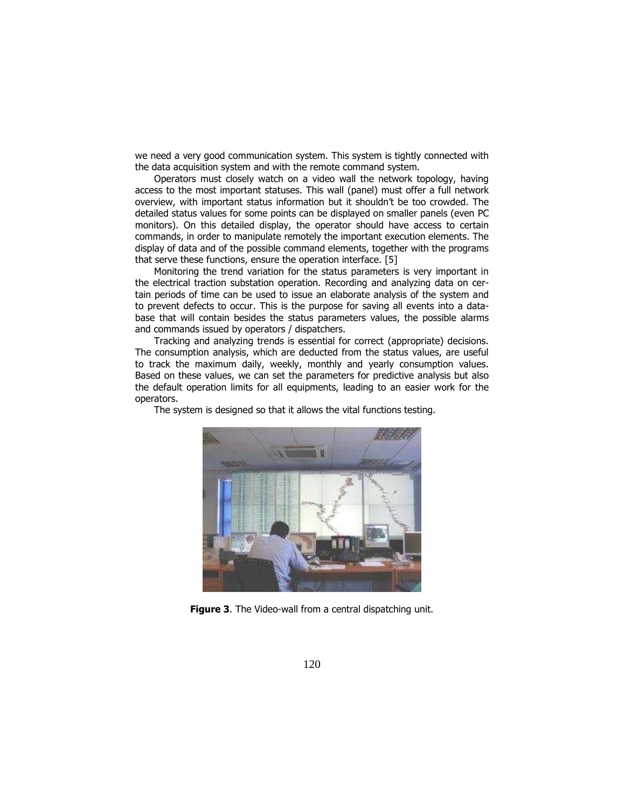we need a very good communication system. This system is tightly connected with the data acquisition system and with the remote command system.

Operators must closely watch on a video wall the network topology, having access to the most important statuses. This wall (panel) must offer a full network overview, with important status information but it shouldn't be too crowded. The detailed status values for some points can be displayed on smaller panels (even PC monitors). On this detailed display, the operator should have access to certain commands, in order to manipulate remotely the important execution elements. The display of data and of the possible command elements, together with the programs that serve these functions, ensure the operation interface. [5]

Monitoring the trend variation for the status parameters is very important in the electrical traction substation operation. Recording and analyzing data on certain periods of time can be used to issue an elaborate analysis of the system and to prevent defects to occur. This is the purpose for saving all events into a database that will contain besides the status parameters values, the possible alarms and commands issued by operators / dispatchers.

Tracking and analyzing trends is essential for correct (appropriate) decisions. The consumption analysis, which are deducted from the status values, are useful to track the maximum daily, weekly, monthly and yearly consumption values. Based on these values, we can set the parameters for predictive analysis but also the default operation limits for all equipments, leading to an easier work for the operators.

The system is designed so that it allows the vital functions testing.



Figure 3. The Video-wall from a central dispatching unit.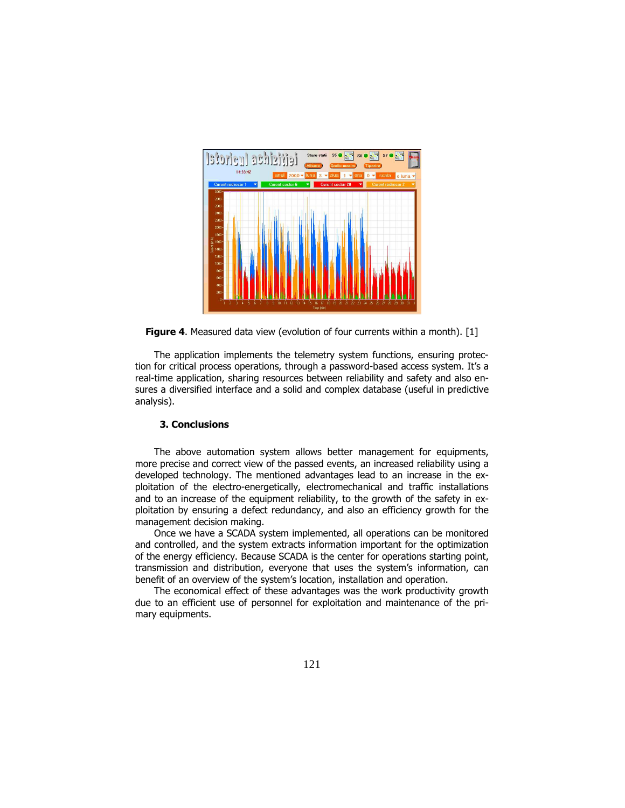

Figure 4. Measured data view (evolution of four currents within a month). [1]

The application implements the telemetry system functions, ensuring protection for critical process operations, through a password-based access system. It's a real-time application, sharing resources between reliability and safety and also ensures a diversified interface and a solid and complex database (useful in predictive analysis).

#### 3. Conclusions

The above automation system allows better management for equipments, more precise and correct view of the passed events, an increased reliability using a developed technology. The mentioned advantages lead to an increase in the exploitation of the electro-energetically, electromechanical and traffic installations and to an increase of the equipment reliability, to the growth of the safety in exploitation by ensuring a defect redundancy, and also an efficiency growth for the management decision making.

Once we have a SCADA system implemented, all operations can be monitored and controlled, and the system extracts information important for the optimization of the energy efficiency. Because SCADA is the center for operations starting point, transmission and distribution, everyone that uses the system's information, can benefit of an overview of the system's location, installation and operation.

The economical effect of these advantages was the work productivity growth due to an efficient use of personnel for exploitation and maintenance of the primary equipments.